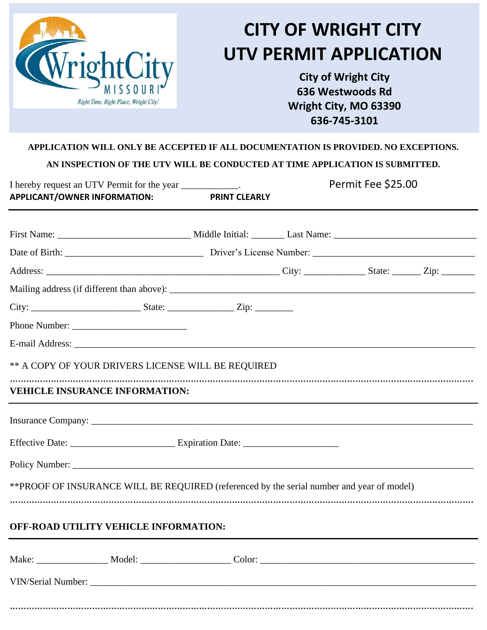

## **CITY OF WRIGHT CITY UTV PERMIT APPLICATION**

**City of Wright City 636 Westwoods Rd Wright City, MO 63390 636-745-3101**

## **APPLICATION WILL ONLY BE ACCEPTED IF ALL DOCUMENTATION IS PROVIDED. NO EXCEPTIONS.**

**AN INSPECTION OF THE UTV WILL BE CONDUCTED AT TIME APPLICATION IS SUBMITTED.**

| I hereby request an UTV Permit for the year ____________.                                  |  |                      | Permit Fee \$25.00 |  |  |
|--------------------------------------------------------------------------------------------|--|----------------------|--------------------|--|--|
| APPLICANT/OWNER INFORMATION:                                                               |  | <b>PRINT CLEARLY</b> |                    |  |  |
|                                                                                            |  |                      |                    |  |  |
|                                                                                            |  |                      |                    |  |  |
|                                                                                            |  |                      |                    |  |  |
|                                                                                            |  |                      |                    |  |  |
|                                                                                            |  |                      |                    |  |  |
|                                                                                            |  |                      |                    |  |  |
|                                                                                            |  |                      |                    |  |  |
| ** A COPY OF YOUR DRIVERS LICENSE WILL BE REQUIRED                                         |  |                      |                    |  |  |
| <b>VEHICLE INSURANCE INFORMATION:</b>                                                      |  |                      |                    |  |  |
|                                                                                            |  |                      |                    |  |  |
|                                                                                            |  |                      |                    |  |  |
|                                                                                            |  |                      |                    |  |  |
| ** PROOF OF INSURANCE WILL BE REQUIRED (referenced by the serial number and year of model) |  |                      |                    |  |  |
| OFF-ROAD UTILITY VEHICLE INFORMATION:                                                      |  |                      |                    |  |  |
|                                                                                            |  |                      |                    |  |  |
|                                                                                            |  |                      |                    |  |  |
|                                                                                            |  |                      |                    |  |  |